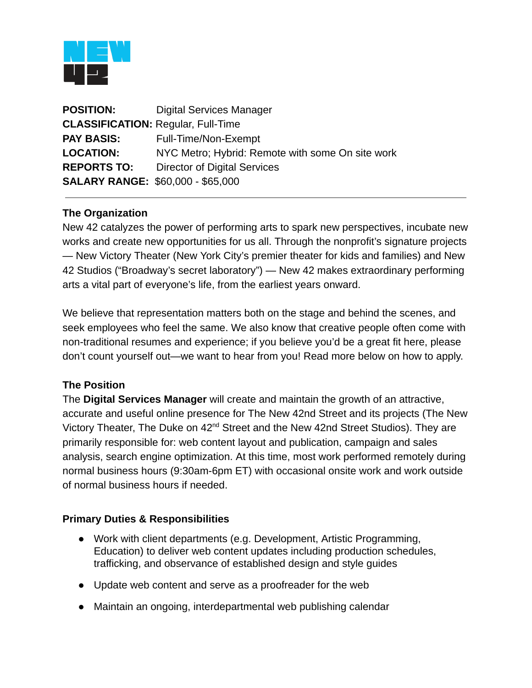

| <b>POSITION:</b>                         | <b>Digital Services Manager</b>                  |
|------------------------------------------|--------------------------------------------------|
|                                          | <b>CLASSIFICATION: Regular, Full-Time</b>        |
| <b>PAY BASIS:</b>                        | Full-Time/Non-Exempt                             |
| <b>LOCATION:</b>                         | NYC Metro; Hybrid: Remote with some On site work |
| <b>REPORTS TO:</b>                       | Director of Digital Services                     |
| <b>SALARY RANGE: \$60,000 - \$65,000</b> |                                                  |

## **The Organization**

New 42 catalyzes the power of performing arts to spark new perspectives, incubate new works and create new opportunities for us all. Through the nonprofit's signature projects — New Victory Theater (New York City's premier theater for kids and families) and New 42 Studios ("Broadway's secret laboratory") — New 42 makes extraordinary performing arts a vital part of everyone's life, from the earliest years onward.

We believe that representation matters both on the stage and behind the scenes, and seek employees who feel the same. We also know that creative people often come with non-traditional resumes and experience; if you believe you'd be a great fit here, please don't count yourself out—we want to hear from you! Read more below on how to apply.

## **The Position**

The **Digital Services Manager** will create and maintain the growth of an attractive, accurate and useful online presence for The New 42nd Street and its projects (The New Victory Theater, The Duke on 42nd Street and the New 42nd Street Studios). They are primarily responsible for: web content layout and publication, campaign and sales analysis, search engine optimization. At this time, most work performed remotely during normal business hours (9:30am-6pm ET) with occasional onsite work and work outside of normal business hours if needed.

## **Primary Duties & Responsibilities**

- Work with client departments (e.g. Development, Artistic Programming, Education) to deliver web content updates including production schedules, trafficking, and observance of established design and style guides
- Update web content and serve as a proofreader for the web
- Maintain an ongoing, interdepartmental web publishing calendar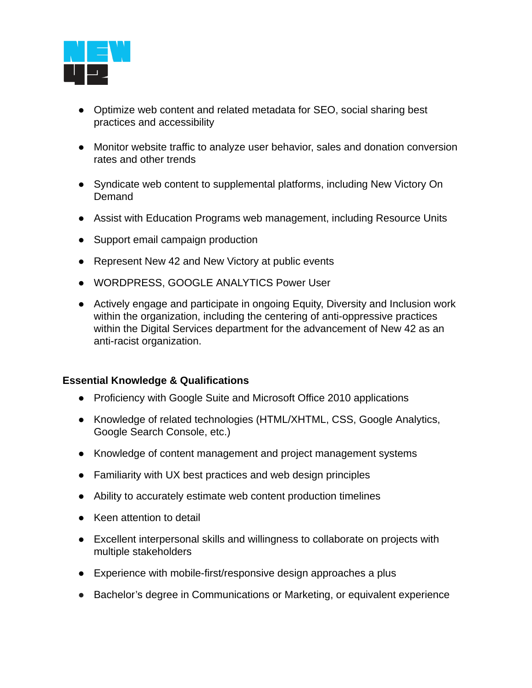

- Optimize web content and related metadata for SEO, social sharing best practices and accessibility
- Monitor website traffic to analyze user behavior, sales and donation conversion rates and other trends
- Syndicate web content to supplemental platforms, including New Victory On Demand
- Assist with Education Programs web management, including Resource Units
- Support email campaign production
- Represent New 42 and New Victory at public events
- WORDPRESS, GOOGLE ANALYTICS Power User
- Actively engage and participate in ongoing Equity, Diversity and Inclusion work within the organization, including the centering of anti-oppressive practices within the Digital Services department for the advancement of New 42 as an anti-racist organization.

## **Essential Knowledge & Qualifications**

- Proficiency with Google Suite and Microsoft Office 2010 applications
- Knowledge of related technologies (HTML/XHTML, CSS, Google Analytics, Google Search Console, etc.)
- Knowledge of content management and project management systems
- Familiarity with UX best practices and web design principles
- Ability to accurately estimate web content production timelines
- Keen attention to detail
- Excellent interpersonal skills and willingness to collaborate on projects with multiple stakeholders
- Experience with mobile-first/responsive design approaches a plus
- Bachelor's degree in Communications or Marketing, or equivalent experience